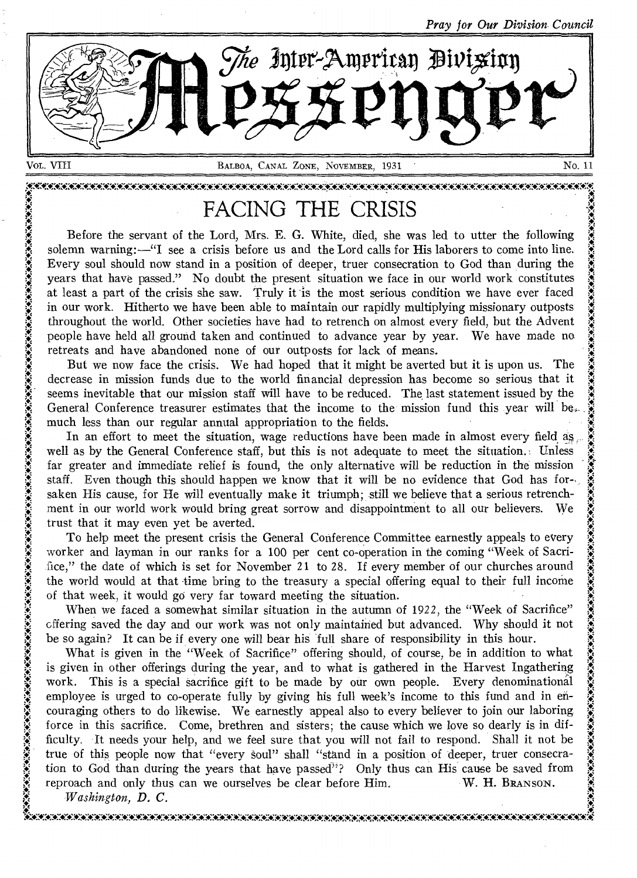*Pray for Our Division. Council* 



AAAAAWAWAAAAAAAAWAAWAAXAWAAAAAAAAAAAAAAAAAA\*WAAAAAKAAWAAAAAWAAAWAAWAAAWAWAWAWAWAAN A \* A A FACING THE CRISIS .. . . Before the servant of the Lord, Mrs. E. G. White, died, she was led to utter the following <sup>A</sup> solemn warning:—"I see a crisis before us and the Lord calls for His laborers to come into line. Every soul should now stand in a position of deeper, truer consecration to God than during the years that have passed." No doubt the present situation we face in our world work constitutes  $\ddot{\ddot{\xi}}$ at least a part of the crisis she saw. Truly it is the most serious condition we have ever faced in our work. Hitherto we have been able to maintain our rapidly multiplying missionary outposts throughout the world. Other societies have had to retrench on almost every field, but the Advent . The most serious condition we have ever raced<br>in our work. Hitherto we have been able to maintain our rapidly multiplying missionary outposts<br>throughout the world. Other societies have had to retrench on almost every fie retreats and have abandoned none of our outposts for lack of means. throughout the world. Other societies have had to retreated but allows every held, but the Adventure people have held all ground taken and continued to advance year by year. We have made no retreats and have abandoned none

beople have held all ground taken and continued to advance year by year. We have made no<br>retreats and have abandoned none of our outposts for lack of means.<br>But we now face the crisis. We had hoped that it might be averted But we now face the crisis. We had hoped that it might be averted but it is upon us. The decrease in mission funds due to the world financial depression has become so serious that it seems inevitable that our mission staf much less than our regular annual appropriation to the fields.

In an effort to meet the situation, wage reductions have been made in almost every field as well as by the General Conference staff, but this is not adequate to meet the situation. Unless far greater and immediate relief is found, the only alternative will be reduction in the mission staff. Even though this should happen we know that it will be no evidence that God has for-.. .<br>.<br>.<br>.<br>. saken His cause, for He will eventually make it triumph; still we believe that a serious retrenchment in our world work would bring great sorrow and disappointment to all our believers. We staff. Even though this should happen we know that it will be no evidence that God has for-<br>saken His cause, for He will eventually make it triumph; still we believe that a serious retrench-<br>ment in our world work would br

worker and layman in our ranks for a 100 per cent co-operation in the coming "Week of Sacri-To help meet the present crisis the General Conference Committee earnestly appeals to every worker and layman in our ranks for a 100 per cent co-operation in the coming "Week of Sacri-<br>fice," the date of which is set for N worker and layman in our ranks for a 100 per cent co-operation in the coming "Week of Sacrifice," the date of which is set for November 21 to 28. If every member of our churches around the world would at that time bring to

When we faced a somewhat similar situation in the autumn of 1922, the "Week of Sacrifice" the world would at that time bring to the treasury a special offering equal to their full income<br>of that week, it would go very far toward meeting the situation.<br>When we faced a somewhat similar situation in the autumn of % of that week, it would go very far toward meeting the situation.<br>
When we faced a somewhat similar situation in the autumn of 1922, the "Week of Sace"<br>
offering saved the day and our work was not only maintained but adva

What is given in the "Week of Sacrifice" offering should, of course, be in addition to what is given in other offerings during the year, and to what is gathered in the Harvest Ingathering work. This is a special sacrifice gift to be made by our own people. Every denominational employee is urged to co-operate fully by giving his full week's income to this fund and in en- $\ddot{\mathbf{r}}$  employee is urged to co-operate runy by giving instant week stricture to this rund and in en-<br>couraging others to do likewise. We earnestly appeal also to every believer to join our laboring force in this sacrifice. Come, brethren and sisters; the cause which we love so dearly is in difficulty. It needs your help, and we feel sure that you will not fail to respond. Shall it not be  $\frac{3}{2}$ true of this people now that "every soul" shall "stand in a position of deeper, truer consecration to God than during the years that have passed<sup>79</sup>? Only thus can His cause be saved from reproach and only thus can we ourselves be clear before Him. W. H. BRANSON.

. , *Washington, D. C.*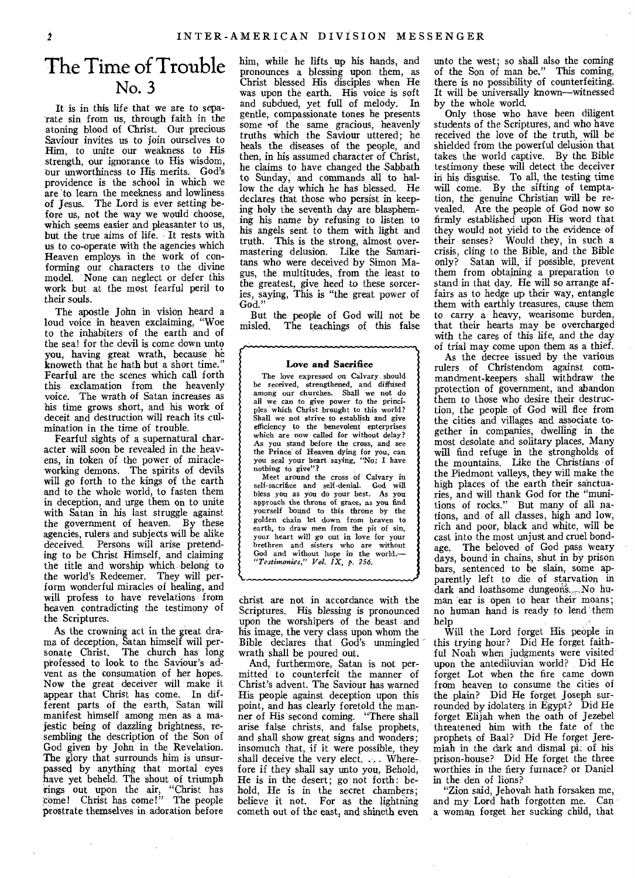# The Time of Trouble No. 3

It is in this life that we are to separate sin from us, through faith in the atoning blood of Christ. Our precious Saviour invites us to join ourselves to Him, to unite our weakness to His strength, our ignorance to His wisdom, our unworthiness to His merits. God's providence is the school in which we are 'to learn the meekness and lowliness of Jesus. The Lord is ever setting before us, not the way we would choose, which seems easier and pleasanter to us, but the true aims of life. It rests with us to co-operate with the agencies which Heaven employs in the work of conforming our characters to the divine model. None can neglect or defer this work but at the most fearful peril to their souls.

The apostle John in vision heard a loud voice in heaven exclaiming, "Woe to the inhabiters of the earth and of the sea! for the devil is come down unto you, having great wrath, because he knoweth that he hath but a short time." Fearful are the scenes which call forth this exclamation from the heavenly voice. The wrath of Satan increases as his time grows short, and his work of deceit and destruction will reach its culmination in the time of trouble.

Fearful sights of a supernatural character will soon be revealed in the heavens, in token of the power of miracleworking demons. The spirits of devils will go forth to the kings of the earth and to the whole world, to fasten them in deception, and urge them on to unite with Satan in his last struggle against the government of heaven. By these agencies, rulers and subjects will be alike deceived. Persons will arise pretending to be Christ Himself, and claiming the title and worship which belong to the world's Redeemer. They will perform wonderful miracles of healing, and will profess to have revelations from heaven contradicting the testimony of the Scriptures.

As the crowning act in the great drama of deception, Satan himself will per-sonate Christ. The church has long professed to look to the Saviour's advent as the consumation of her hopes. Now the great deceiver will make it appear that Christ has come. In different parts of the earth, Satan will manifest himself among men as a majestic being of dazzling brightness, resembling the description of the Son of God given by John in the Revelation. The glory that surrounds him is unsurpassed by anything that mortal eyes have yet beheld. The shout of triumph rings out upon the air, "Christ has come! Christ has come!" The people prostrate themselves in adoration before

him, while he lifts up his hands, and pronounces a blessing upon them, as Christ blessed His disciples when He was upon the earth. His voice is soft and subdued, yet full of melody. In gentle, compassionate tones he presents some •of the same gracious, heavenly truths which the Saviour uttered; he heals the diseases of the people, and then, in his assumed character of Christ. he claims to have changed the Sabbath to Sunday, and commands all to hallow the day which he has blessed. He declares that those who persist in keeping holy the seventh day are blaspheming his name by refusing to listen to his angels sent to them with light and truth. This is the strong, almost overmastering delusion. Like the Samaritans who were deceived by Simon Magus, the multitudes, from the least to the greatest, give heed to these sorceries, saying, This is "the great power of God."

But the people of God will not be misled. The teachings of this false

#### Love and Sacrifice

نہم

 $\zeta$ 

The love expressed on Calvary should be received, strengthened, and diffused among our churches. Shall we not do all we can to give power to the principles which Christ brought to this world? Shall we not strive to establish and give efficiency to the benevolent enterprises which are now called for without delay? As you stand before the cross, and see the Prince of Heaven dying for you, can you seal your heart *saying,* "No; I have nothing to give"?

Meet around the cross of Calvary in self-sacrifice and self-denial. God will bless you as you do your best. As you approach the throne of grace, as you find yourself bound to this throne by the golden chain let down from heaven to earth, to draw men from the pit of sin, your heart will go out in love for your brethren and sisters who are without God and without hope in the world.— *"Testimonies," Vol. IX,* p. *256.* 

christ are not in accordance with the Scriptures. His blessing is pronounced upon the worshipers of the beast and his image, the very class upon whom the Bible declares that God's unmingled wrath shall be poured out.

And, furthermore, Satan is not permitted to counterfeit the manner of Christ's advent. The Saviour has warned His people against deception upon this point, and has clearly foretold the manner of His second coming. "There shall arise false christs, and false prophets, and shall show great signs and wonders; insomuch that, if it were possible, they shall deceive the very elect.... Wherefore if they shall say unto you, Behold, He is in the desert; go not forth: behold, He is in the secret chambers; believe it not. For as the lightning cometh out of the east, and shineth even

unto the west; so shall also the coming of the Son of man be." This coming, there is no possibility of counterfeiting. It will be universally known—witnessed by the whole world.

Only those who have been diligent students of the Scriptures, and who have received the love of the truth, will be shielded from the powerful delusion that takes the world captive. By the Bible testimony these will detect the deceiver in his disguise. To all, the testing time will come. By the sifting of temptation, the genuine Christian will be revealed. Are the people of God now so firmly established upon His word that they would not yield to the evidence of their senses? Would they, in such a crisis, cling to the Bible, and the Bible only? Satan will, if possible, prevent them from obtaining a preparation to stand in that day. He will so arrange affairs as to hedge up their way, entangle them with earthly treasures, cause them to carry a heavy, wearisome burden, that their hearts may be overcharged with the cares of this life, and the day of trial may come upon them as a thief.

As the decree issued by the various rulers of Christendom against commandment-keepers shall withdraw, the protection of government, and abandon them to those who desire their destruction, the people of God will flee from the cities and villages and associate together in companies, dwelling in the most desolate and solitary places. Many will find refuge in the strongholds of the mountains. Like the Christians of the Piedmont valleys, they will make the high places of the earth their sanctuaries, and will thank God for the "munitions of rocks." But many of all nations, and of all classes, high and low, rich and poor, black and white, will be cast into the most unjust and cruel bond-<br>age. The beloved of God pass weary The beloved of God pass weary days, bound in chains, shut in by prison bars, sentenced to be slain, some apparently left to die of starvation in dark and loathsome dungeons. No human ear is open to hear their moans; no human hand is ready to lend them help

Will the Lord forget His people in this trying hour? Did He forget faithful Noah when judgments were visited upon the antediluvian world? Did He forget Lot when the fire came down from heaven to consume the cities of the plain? Did He forget Joseph surrounded by idolaters in Egypt? Did He forget Elijah when the oath of Jezebel threatened him with the fate of the prophets of Baal? Did He forget Jeremiah in the dark and dismal pig of his prison-house? Did He forget the three worthies in the fiery furnace? or Daniel in the den of lions?

"Zion said, Jehovah hath forsaken me, and my' Lord hath forgotten me. Can a woman forget her sucking child, that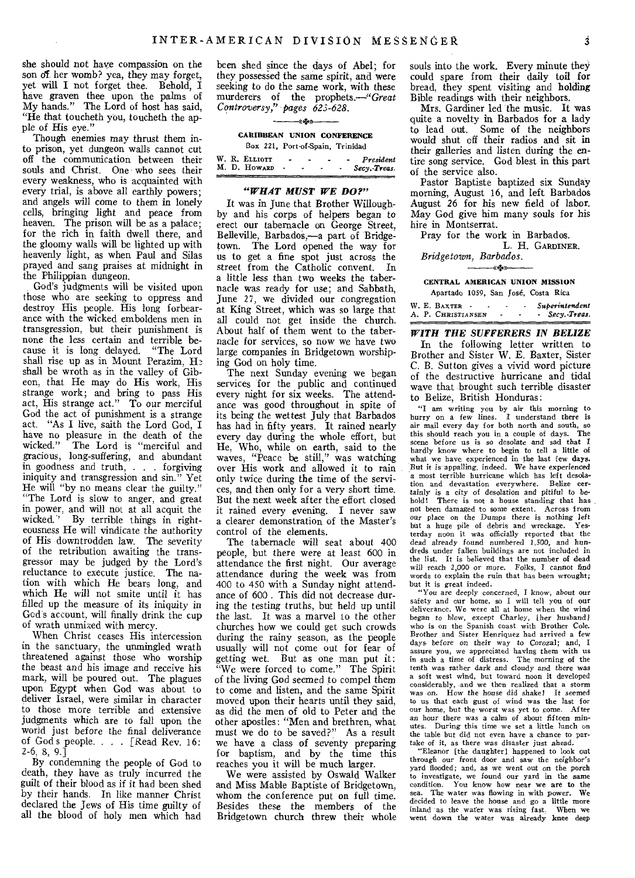she should not have compassion on the son of her womb? yea, they may forget, yet will I not forget thee. Behold, I have graven thee upon the palms of My hands." The Lord of host has said, "He that toucheth you, toucheth the apple of His eye."

Though enemies may thrust them into prison, yet dungeon walls cannot cut off the communication between their souls and Christ. One • who sees their every weakness, who is acquainted with every trial, is above all earthly powers; and angels will come to them in lonely cells, bringing light and peace from heaven. The prison will be as a palace; for the rich in faith dwell there, and the gloomy walls will be lighted up with heavenly light, as when Paul and Silas prayed and sang praises at midnight in the Philippian dungeon.

God's judgments will be visited upon those who are seeking to oppress and destroy His people. His long forbearance with the wicked emboldens men in transgression, but their punishment is none the less certain and terrible because it is long delayed. "The Lord shall rise up as in Mount Perazim, He shall be wroth as in the valley of Gibeon, that He may do His work, His strange work; and bring to pass His act, His strange act." To our merciful God the act of punishment is a strange act. "As I live, saith the Lord God, I have no pleasure in the death of the wicked." The Lord is "merciful and gracious, long-suffering, and abundant in goodness and truth, . . forgiving iniquity and transgression and sin." Yet He will "by no means clear the guilty." "The Lord is slow to anger, and great in power, and will not at all acquit the wicked.' By terrible things in righteousness He will vindicate the authority of His downtrodden law. The severity of the retribution awaiting the transgressor may be judged by the Lord's reluctance to execute justice. The nation with which He bears long, and which He will not smite until it has filled up the measure of its iniquity in God's account, will finally drink the cup of wrath unmixed with mercy.

When Christ ceases His intercession in the sanctuary, the unmingled wrath threatened against those who worship the beast and his image and receive his mark, will be poured out. The plagues upon Egypt when God was about to deliver Israel, were similar in character to those more terrible and extensive judgments which are to fall upon the world just before the final deliverance of Gods people. . . [Read Rev. 16: 2-6, 8, 9.]

By condemning the people of God to death, they have as truly incurred the guilt of their blood as if it had been shed by their hands. In like manner Christ declared the Jews of His time guilty of all the blood of holy men which had

been shed since the days of Abel; for they possessed the same spirit, and were seeking to do the same work, with these murderers of the prophets.—"Great *Controversy," pages 623-628.* 

-astur

**CARIBBEAN UNION CONFERENCE**  Box 221, Port-of-Spain, Trinidad

|  | W. R. ELLIOTT<br>M. D. HOWARD | - | $\overline{\phantom{a}}$ | President<br>Secy. Treas |
|--|-------------------------------|---|--------------------------|--------------------------|
|  |                               |   |                          |                          |
|  |                               |   |                          |                          |

#### *"WHAT MUST WE DO?"*

It was in June that Brother Willoughby and his corps of helpers began to erect our tabernacle on George Street, Belleville, Barbados,—a part of Bridgetown. The Lord opened the way for us to get a fine spot just across the street from the Catholic convent. In a little less than two weeks the tabernacle was ready for use; and Sabbath, June 27, we divided our congregation at King Street, which was so large that all could not get inside the church. About half of them went to the tabernacle for services, so now we have two large companies in Bridgetown worshiping God on holy time.

The next Sunday evening we began services for the public and continued every night for six weeks. The attendance was good throughout in spite of its being the wettest July that Barbados has had in fifty years. It rained nearly every day during the whole effort, but He, Who, while on earth, said to the waves, "Peace be still," was watching over His work and allowed it to rain only twice during the time of the *services,* and then only for a very short time. But the next week after the effort closed it rained every evening. I never saw a clearer demonstration of the Master's control of the elements.

The tabernacle will seat about 400 people, but there were at least 600 in attendance the first night. Our average attendance during the week was from 400 to 450 with a Sunday night attendance of 600 . This did not decrease during the testing truths, but held up until the last. It was a marvel to the other churches how we could get such crowds during the rainy season, as the people usually will not come out for fear of getting wet. But as one man put it: We were forced to come." The Spirit of the living God seemed to compel them to come and listen, and the same Spirit moved upon their hearts until they said, as did the men of old to Peter and the other apostles: "Men and brethren, what must we do to be saved?" As a result we have a class of seventy preparing for baptism, and by the time this reaches you it will be much larger.

We were assisted by Oswald Walker and Miss Mable Baptiste of Bridgetown, whom the conference put on full time. Besides these the members of the Bridgetown church threw their whole souls into the work. Every minute they could spare from their daily toil for bread, they spent visiting and holding Bible readings with their neighbors.

Mrs. Gardiner led the music. It was quite a novelty in Barbados for a lady to lead out. Some of the neighbors would shut off their radios and sit in their galleries and listen during the entire song service. God blest in this part of the service also.

Pastor Baptiste baptized six Sunday morning, August 16, and left Barbados August 26 for his new field of labor. May God give him many souls for his hire in Montserrat.

Pray for the work in Barbados. L. H. GARDINER.

#### *Bridgetown, Barbados.*  -《嗪》

#### **CENTRAL AMERICAN UNION MISSION**  Apartado 1059, San Jose, Costa Rica

W. E. BAXTER - - - Superintendent<br>A. P. CHRISTIANSEN - - - Secy.-Treas. A. P. CHRISTIANSEN - - - *Secy.-Treas*.

*WITH THE SUFFERERS IN BELIZE*  In the following letter written to Brother and Sister W. E. Baxter, Sister *C.* B. Sutton gives a vivid word picture of the destructive hurricane and tidal wave that brought such terrible disaster to Belize, British Honduras:

"I am writing you by air this morning to hurry on a few lines. I understand there is air mail every day for both north and south, so this should reach you in a couple of days. scene before us is so desolate and sad that I hardly know where to begin to tell a little of what we have experienced in the last few days. But it is appalling, indeed. We have experienced a most terrible hurricane which has left desola-<br>tion and devastation everywhere. Belize certion and devastation everywhere. tainly is a city of desolation and pitiful to behold! There is not a house standing that has not been damaged to some extent. Across from our place on the Dumps there is nothing left<br>but a huge pile of debris and wreckage. Yesbut a huge pile of debris and wreckage. terday noon it was officially reported that the dead already found numbered 1,500, and hundreds under fallen buildings are not included in the list. It is believed that the number of dead will reach 2,000 or more. Folks, I cannot find words to explain the ruin that has been wrought; but it is great indeed.

"You are deeply concerned, I know, about our safety and our home, so I will tell you of our deliverance. We were all at home when the wind began to blow, except Charley, [her husband] who is on the Spanish coast with Brother Cole. Brother and Sister Henriquez had arrived a few days before on their way to Corozal; and, I assure you, we appreciated having them with us in such a time of distress. The morning of the tenth was rather dark and cloudy and there was a soft west wind, but toward noon it developed considerably, and we then realized that *a* storm was on. How the house did shake! It seemed to us that each gust of wind was the last for our home, but the worst was yet to come. After an hour there was a calm of about fifteen min-<br>utes. During this time we set a little lunch on During this time we set a little lunch on the table but did not even have a chance to par-

take of it, as there was disaster just ahead. "Eleanor [the daughter] happened to look out through our front door and saw the neighbor's yard flooded; and, as we went out on the porch to investigate, we found our yard in the same condition. You know how near we are to the sea. The water was flowing in with power. We decided to leave the house and go a little more inland as the water was rising fast. When we inland as the water was rising fast. went down the water was already knee deep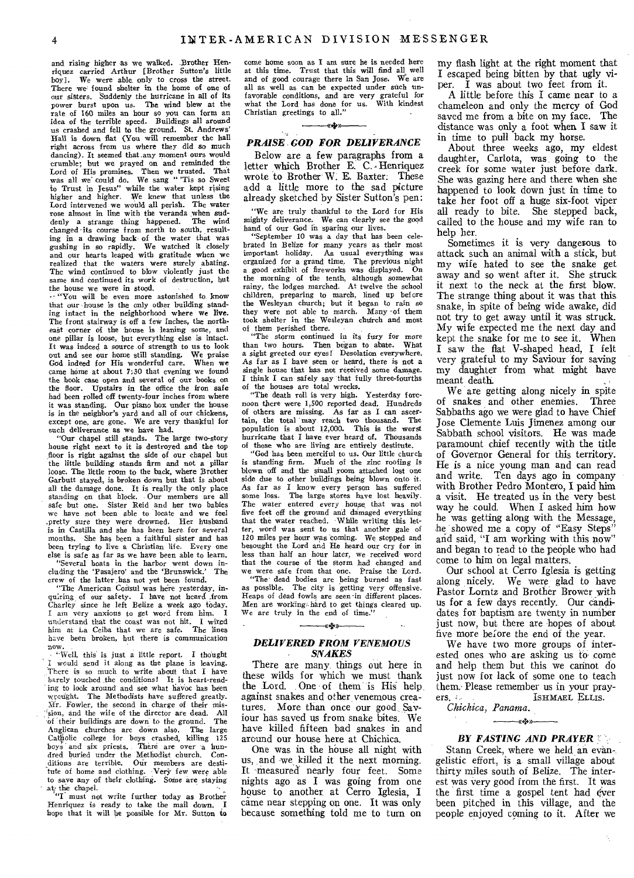and rising higher as we walked. Brother Henriquez carried Arthur [Brother Sutton's little boy]. We were able only to cross the street. There we found shelter in the home of one of our sisters. Suddenly the hurricane in all of its power burst upon us. The wind blew at the rate of 160 miles an hour so you can form an idea of the terrible speed. Buildings all around us crashed and fell to the ground. St. Andrews' Hall is down flat (You will remember the hall right across from us where they did so much dancing). It seemed that, any moment ours would crumble; but we prayed on and reminded the Lord of His promises. Then we trusted. That was all we could do. We sang " 'Tis so Sweet the water kept rising higher and higher. We knew that unless the Lord intervened we would all perish. The water rose almost in line with the veranda when sud-denly a strange thing happened. The wind changed-its course from north to south, resulting in a drawing back of the water that was gushing in so rapidly. We watched it closely and our hearts leaped with gratitude when we realized that the waters were surely abating. The wind continued to blow violently just the same and continued its work of destruction, but the house we were in stood.

— "You will be even more astonished to, know that our house is the only other building standing intact in the neighborhood where we live. The front stairway is off a few inches, the northeast corner of the house is leaning some, and one pillar is loose, but everything else is intact. It was indeed a source of strength to us to look out and see our home still standing. We praise God indeed for His wonderful care. When we came home at about 7;30 that evening we found the book case open and several of our books on the floor. Upstairs in the office the iron safe had been rolled off twenty-four inches from where it was standing. Our piano box under the house is in the neighbor's yard and all of our chickens, except one, are gone. We are very thankful for

such deliverance as we have had. "Our chapel still stands. The large two-story house right next to it is destroyed and the top floor is right against the side of our chapel but the little building stands firm and not a pillar loose. The little room to the back, where Brother Garbutt stayed, is broken down but that is about all the damage done. It is really the only place standing on that block. Our members are all safe but one. Sister Reid and her two babies we have not been able to locate and we *feel*  .pretty sure they were drowned. Her husband is in Castilla and she has heen here for several months. She has been a faithful sister and has been trying to live a Christian life. Every one else is safe as far as we have been able to learn.

"Several boats in the harbor went down including the 'Pasajero' and the 'Brunswick.' crew of the latter has not yet been found. "The American Consul was here yesterday, in-

quiring of our safety. I have not heard from Charley since he left Belize a week ago today. I am very anxious to get word from him. I understand that the coast was not hit. I wired him at La Ceiba that we are safe. The lines have been broken, but there is communication

now.<br>
Well, this is just a little report. I thought I would send it along as the plane is leaving. There is so much to write about that I have barely touched the conditions! It is heart-rending to look around and see what havoc has been wrought. The Methodists have suffered greatly. Mr. Fowler, the second in charge of their mis--\*n, and the wife of the director are dead. All of their buildings are down to the ground. The of their buildings are down to the ground. The Anglican churches are down also. The large Catholic college for boys crashed, killing 125 boys and six priests. There are over a hundred buried under the Methodist church. Con-clitions are terrible. Our members are desti-tute of home and clothing. Very few were able to save any of their clothing. Some are staying

at, the chapel.<br>
"I must not write further today as Brother Henriquez is ready to take the mail down. I hope that it will be possible for Mr. Sutton to

come home soon as I am sure he is needed here at this time. Trust that this will find all well and of good courage there in San Jose. We are all as well as can be expected under such unfavorable conditions, and are very grateful for what the Lord has done for us. With kindest Christian greetings to all."

#### -14,»

## *PRAISE. GOD FOR DELIVERANCE*

Below are a few paragraphs from a letter which Brother E. C. Henriquez wrote to Brother W. E. Baxter. These add a little more to the sad picture already sketched by Sister Sutton's pen:

"We are truly thankful to the Lord for His mighty deliverance. We can clearly see the good hand of our God in sparing our lives.

"September 10 was a day that has been celebrated in Belize for many years as their most important holiday. As usual everything was organized for a grand time. The previous night a good exhibit of fireworks was displayed. On the morning of the tenth, although somewhat rainy, the lodges marched. At twelve the school children, preparing to march, lined up before the Wesleyan church; but it began to rain so they were not able to march. Many -of them took shelter in the Wesleyan church and most

of them perished there. "The storm continued in its fury for more than two hours. Then began to abate. What a sight greeted our eyes! Desolation everywhere. As far as I have seen or heard, there is not a single house that has not received some damage. I think I can safely say that fully three-fourths

of the houses are total wrecks.<br>
"The death roll is very high. Yesterday forenoon there were 1,500 reported dead. Hundreds of others are missing. As far as I can ascer-tain, the total may reach two thousand. The population is about 12,000. This is the worst hurricane that I have ever heard of. Thousands of those who are living are entirely destitute.

"God has been merciful to us. Our little church is standing firm. Much of the zinc roofing is blown off and the small room attached lost one side due to other buildings being blown onto it. As far as I know every person has suffered some loss. The large stores have lost heavily. The water entered every house that was not five feet off the ground and damaged everything that the water reached. While writing this letter, word was sent to us that another gale of 120 miles per hour was coming. We stopped and besought the Lord and He heard our cry for in less than half an hour later, we received- word that the course of the storm had changed and we were safe from that one. Praise the Lord. "The' dead bodies are being burned as fast

as possible. The city is getting very offensive. Heaps of dead fowls.are seen-in different places. Men are working hard to get things cleared up.<br>We are truly in the end of time."

## «4.» *DELIVERED FROM VENEMOUS SNAKES*

There are many things out here in these wilds for which we must thank the Lord. One of them 'is His help, against snakes and other venemous creatures. More than once our good Saviour has saved us from snake bites. We have killed fifteen bad snakes in and around our house here at Chichica.

One was in the house all night with us, and we killed it the next morning. It 'measured nearly four feet. Some nights ago as I was going from one house to another at Cerro Iglesia, I came near stepping on one. It was only because something told me to turn on

my flash light at the right moment that I escaped being bitten by that ugly viper. I was about two feet from it.

A little before this I came near to a chameleon and only the mercy of God saved me from a bite on my face. The distance was only a foot when I saw it in time to pull back my horse.

About three weeks ago, my eldest daughter, Carlota, was going to the creek for some water just before dark. She was gazing here and there when she happened to look down just in time to take her foot off a huge six-foot viper all ready to bite. She stepped back, called to the house and my wife ran to help her.

Sometimes it is very dangerous to attack such an animal with a stick, but my wife hated to see the snake get away and so went after it. She struck it next to the neck at the first blow. The strange thing about it was that this snake, in spite of being wide awake, did not try to get away until it was struck. My wife expected me the next day and kept the snake for me to see it. When I saw the flat V-shaped head, I felt very grateful to my Saviour for saving my daughter from what might have meant death.

We are getting along nicely in spite of snakes and other enemies. Three Sabbaths ago we were glad to have Chief Jose Clemente Luis Jimenez among our Sabbath school visitors. He was made paramount chief recently with the title of Governor General for this territory. He is a nice young man and can read and write, Ten days ago in company with Brother Pedro Montero, I paid him a visit. He treated us in the very best way he could. When I asked him how he was getting along with the Message, he showed me a copy of "Easy Steps" and said, "I am working with this now" and began to read' to the people who had come to him on legal matters.

Our school at Cerro Iglesia is getting along nicely. We were glad to have Pastor Lorntz and Brother Brower with us for a few days recently. Our candidates for baptism are twenty in number just now, but there are hopes of about five more be;ore the end of the year.

We have two more groups of interested ones who are asking us to come and help them but this we cannot do just now for lack of some one to teach them. Please remember us in your pray-<br>ers. ISHMAEL ELLIS.

*<4.»* 

*Chichica, Panama.* 

#### *BY FASTING AND PRAYER*

Stann Creek, where we held an evangelistic effort, is a small village about thirty miles south of Belize. The interest was very good from the first. It was the first time a gospel tent had ever been pitched in this village, and the people enjoyed coming to it. After we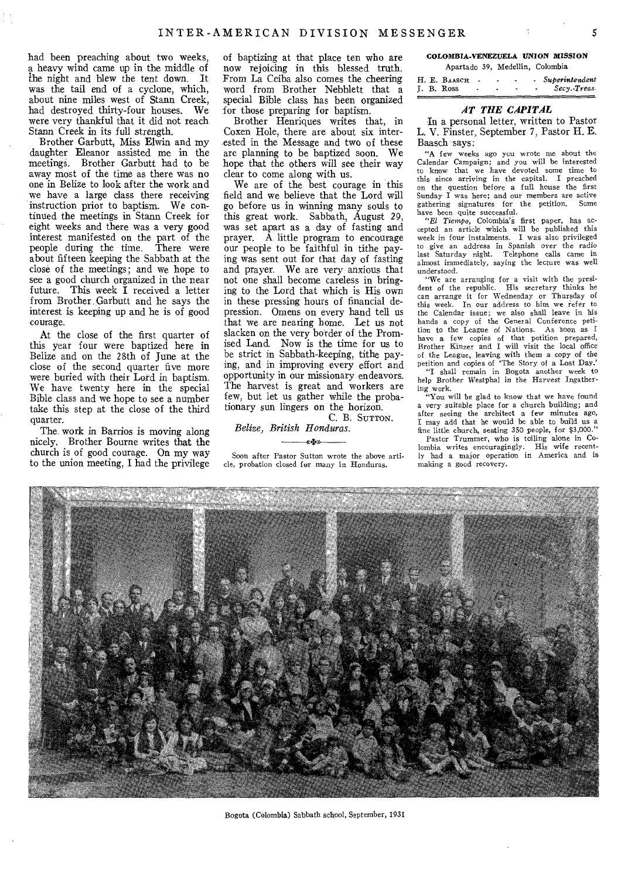had been preaching about two weeks, a heavy wind came up in the middle of the night and blew the tent down. It was the tail end of a cyclone, which, about nine miles west of Stann Creek, had destroyed thirty-four houses. We were very thankful that it did not reach Stann Creek in its full strength.

Brother Garbutt, Miss Elwin and my daughter Eleanor assisted me in the meetings. Brother Garbutt had to be away most of the time as there was no one in Belize to look after the work and we have a large class there receiving instruction prior to baptism. We continued the meetings in Stann Creek for eight weeks and there was a very good interest manifested on the part of the people during the time. There were about fifteen keeping the Sabbath at the close of the meetings; and we hope to see a good church organized in the near future. This week  $\tilde{I}$  received a letter from Brother Garbutt and he says the interest is keeping up and he is of good courage.

At the close of the first quarter of this year four were baptized here in Belize and on the 28th of June at the close of the second quarter five more were buried with their Lord in baptism. We have twenty here in the special Bible class and we hope to see a number take this step at the close of the third quarter.

The work in Barrios is moving along nicely. Brother Bourne writes that the church is of good courage. On my way to the union meeting, I had the privilege

of baptizing at that place ten who are now rejoicing in this blessed truth. From La Ceiba also comes the cheering word from Brother Nebblett that a special Bible class has been organized for those preparing for baptism.

Brother Henriques writes that, in Coxen Hole, there are about six interested in the Message and two of these are planning to be baptized soon. We hope that the others will see their way clear to come along with us.

We are of the best courage in this field and we believe that the Lord will go before us in winning many souls to this great work. Sabbath, August 29, was set apart as a day of fasting and prayer. A little program to encourage our people to be faithful in tithe paying was sent out for that day of fasting and prayer. We are very anxious that not one shall become careless in bringing to the Lord that which is His own in these pressing hours of financial depression. Omens on every hand tell us that we are nearing home. Let us not slacken on the very border of the Promised Land. Now is the time for us to be strict in Sabbath-keeping, tithe paying, and in improving every effort and opportunity in our missionary endeavors. The harvest is great and workers are few, but let us gather while the probationary sun lingers on the horizon. C. B. SUTTON.

## *Belize, British Honduras.*

e Ser Soon after Pastor Sutton wrote the above article, probation closed for many in Honduras.

#### COLOMBIA-VENEZUELA *UNION MISSION*  Apartado 39, Medellin, Colombia

|  |  | H. E. BAASCH |  |   |  | - Superintendent |
|--|--|--------------|--|---|--|------------------|
|  |  | J. B. Ross   |  | ۰ |  | Secy. Treas      |
|  |  |              |  |   |  |                  |

## *AT THE CAPITAL*

In a personal letter, written to Pastor L. V. Finster, September 7, Pastor H. E. Baasch says:

"A few weeks ago you wrote me about the Calendar Campaign; and you will be interested to know that we have devoted some time to this since arriving in the capital. I preached on the question before a full house the first Sunday I was here; and our members are active gathering signatures for the petition. Some have been quite successful.<br> *"El Tiempo,* Colombia's first paper, has ac-

cepted an article which will be published this week in four instalments. I was also privileged to give an address in Spanish over the radio last Saturday night. Telephone calls came in almost immediately, saying the lecture was well understood.

"We are arranging for a visit with the president of the republic. His secretary thinks he can arrange it for Wednesday or Thursday of this week. In our address to him we refer to the Calendar issue; we also shall leave in his hands a copy of the General Conference petition to the League of Nations. As boon as I have a few copies of that petition prepared, Brother Kinzer and I will visit the local office of the League, leaving with them a copy of the petition and copies of 'The Story of a Lost Day.' "I shall remain in Bogota another week to help Brother Westphal in the Harvest Ingather-

ing work. "You will be glad to know that we have found a very suitable place for a church building; and after seeing the architect a few minutes ago, I may add that he would be able to build us a fine little church, seating 350 people, for \$3,000." Pastor Trummer, who is toiling alone in Colombia writes encouragingly. His wife recent-ly had a major operation in America and is making a good recovery.



Bogota (Colombia) Sabbath school, September, 1931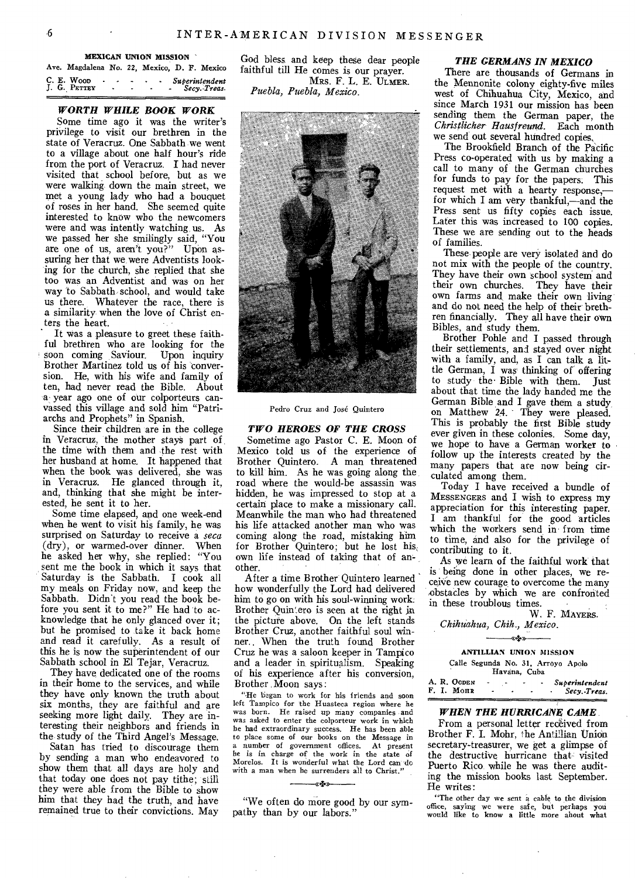MEXICAN UNION MISSION

|  | Ave. Magdalena No. 22, Mexico, D. F. Mexico |        |                |                                             |  |                                  |
|--|---------------------------------------------|--------|----------------|---------------------------------------------|--|----------------------------------|
|  | C. E. Woo<br>J. G. PETTEY                   | $\sim$ | $\blacksquare$ | $\sim$<br><b>Contract Contract Contract</b> |  | Superintendent<br>- Secv. Treas. |

#### *WORTH WHILE BOOK WORK*

Some time ago it was the writer's privilege to visit our brethren in the state of Veracruz. One Sabbath we went to a village about one half hour's ride from the port of Veracruz. I had never visited that school before, but as we were walking down the main street, we met a young lady who had a bouquet of roses in her hand. She seemed quite interested to know who the newcomers were and was intently watching, us. As we passed her she smilingly said, "You are one of us, aren't you?" Upon assuring her that we were Adventists looking for the church, she replied that she too was an Adventist and was on her way to Sabbath school, and would take us there. Whatever the race, there is a similarity when the love of Christ enters the heart.

It was a pleasure to greet these faithful brethren who are looking for the soon coming Saviour. Upon inquiry Brother Martinez told us of his conversion. He, with his wife and family of ten, had never read the Bible. About a year ago one of our colporteurs canvassed this village and sold him "Patriarchs and Prophets" in Spanish.

Since their children are in the college in Veracruz, the mother stays part of the time with them and the rest with her husband at home. It happened that when the book was delivered, she was in Veracruz. He glanced through it, and, thinking that she might be interested, he sent it to her.

Some time elapsed, and one week-end when he went to visit his family, he was surprised on Saturday to receive a *seca* (dry), or warmed-over dinner. When he asked her why, she replied: "You sent me the book in which it says that Saturday is the Sabbath. I cook all my meals on Friday now, and keep the Sabbath. Didn't you read the book before you sent it to me?" He had to acknowledge that he only glanced over it; but he promised to take it back home and read it carefully. As a result of this he is now the superintendent of our Sabbath school in El Tejar, Veracruz.

They have dedicated one of the rooms in their home to the services, and while they have only known the truth about six months, they are faithful and are seeking more light daily. They are interesting their neighbors and friends in the study of the Third Angel's Message.

Satan has tried to discourage them by sending a man who endeavored to show them that all days are holy and that today one does not pay tithe; still they were able from the Bible to show him that they had the truth, and have remained true to their convictions. May

God bless, and keep these dear people faithful till He comes is our prayer. MRS. F. L. E. ULMER. *Puebla, Puebla, Mexico.* 



Pedro Cruz and Jose Quintero

#### *TWO HEROES OF THE CROSS*

Sometime ago Pastor C. E. Moon of Mexico told us of the experience of Brother Quintero. A man threatened to kill' him. As he was going along the road where the would-be assassin was hidden, he was impressed to stop at a certain place to make a missionary call. Meanwhile the man who had threatened his life attacked another man who was coming along the road, mistaking him for Brother Quintero; but he lost his own life instead of taking that of another.

After a time Brother Ouintero learned how wonderfully the Lord had delivered him to go on with his soul-winning work: Brother Quintero is seen at the right in the picture above. On the left stands Brother Cruz, another faithful soul winner.. When the truth found Brother Cruz he was a saloon keeper in Tampico and a leader in. spiritualism. Speaking of his experience after his conversion, Brother Moon says:

"-He began to work for his friends and soon left Tampico for the Huasteca region where he was born. He raised up many companies and was asked to enter the colporteur work in which he had extraordinary success. He has been able to place some of our books on the Message in a number of government offices. At present<br>he is in charge of the work in the state of<br>Morelos. It is wonderful what the Lord can do<br>with a man when he surrenders all to Christ."

"We often do more good by our sympathy than by our labors."

#### *THE GERMANS IN MEXICO*

There are thousands of Germans in the Mennonite colony eighty-five miles west of Chihuahua City, Mexico, and since March 1931 our mission has been sending them the German paper, the *Christlicher Hausfreund.* Each month we send out several hundred copies,

The Brookfield Branch of the Pacific Press to-operated with us by making a call to many of the German churches for funds to pay for the papers. This request met with a hearty response, for which I am very thankful,—and the Press sent us fifty copies each issue. Later this was increased to 100 copies. These we are sending out to the heads of families.

These people are very isolated and do not mix with the people of the country. They have their own school system and their own churches. They have their own farms and, make their own living and do not need the help of their brethren financially. They all have their own Bibles, and study them.

Brother Pohle and I passed through their settlements, and stayed over night with a family, and, as I can talk a little German, I was thinking of offering to study the Bible with them. Just about that time the lady handed me the German Bible and I gave them a study, on Matthew 24. They were pleased. This is probably the first Bible study ever given in these colonies. Some day, we hope to have a German worker to follow up 'the interests created by the many papers that are now being circulated among them.

Today I have received a bundle of MESSENGERS and I wish to express my appreciation for this interesting paper. I am thankful for the good articles which the workers send in from time to time, and also for the privilege of contributing to it,

As we learn of the faithful work that is being done in other places, we receive new courage to overcome the many obstacles by which we are confronted in these troublous times.

W, F. MAYERS. *Chihuahua, Chile., Mexico. +»-* 

ANTILLIAN UNION MISSION Calle Segunda No. 31, Arroyo Apolo Havana, Cuba

A. R. OGDEN - - - - *Superintendent*<br>F. I. Monr - - - - *Secv.-Treas.* F. I. Monr

#### *WHEN THE HURRICANE CAME*

From a personal letter received from Brother F. I. Mohr, the Antillian Union secretary-treasurer, we get a glimpse of the destructive hurricane that visited Puerto Rico while he was there auditing the mission books last September. He writes:

"The other day we sent a cable to the division office, saying we were safe, but perhaps you would like to know a little more about what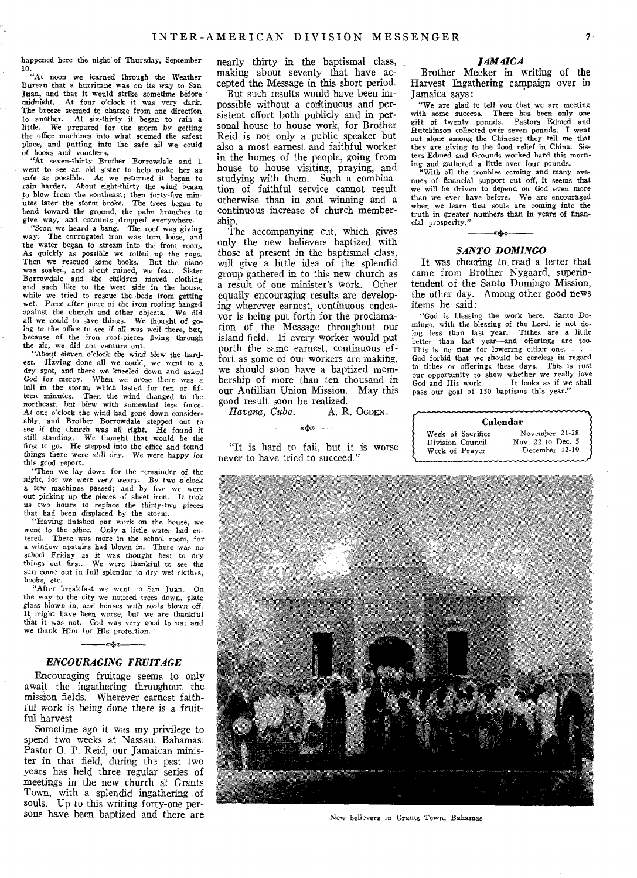happened here the night of Thursday, September

10. "At noon we learned through the Weather Bureau that a hurricane was on its way to San Juan, and that it would strike sometime before midnight. At four o'clock it was very dark. The breeze seemed to change from one direction to another. At six-thirty it began to rain a little. We prepared for the storm by getting the office machines into what seemed the safest place, and putting into the safe all we could of books *and* vouchers.

"At seven-thirty Brother Borrowdale and I went to see an old sister to help make her as safe as possible. As we returned it began to rain harder. About eight-thirty the wind began to blow from the southeast; then forty-five min-utes later the storm broke. The trees began to bend toward the ground, the palm branches to give way, and coconuts dropped everywhere.

"Soon we heard a bang. The roof was giving way: The corrugated iron was torn loose, and the water began to stream into the front room. As quickly as possible we rolled up the rugs. Then we rescued some books. But the piano was soaked, and about ruined, we fear. Sister Borrowdale and the children moved clothing and such like to the west side in the house, while we tried to rescue the beds from getting wet. Piece after piece of the iron roofing banged against the church and other objects. We did against the church and other objects. We did all we could to save things. We thought of goall we could to save things. We thought of go-ing to the office to see if all was well there, but, because of the iron roof-pieces flying through

the air, we did not venture out. "About eleven o'clock *the* wind blew the hardest. Having done all we could, we went to a dry spot, and there we kneeled down and asked God *for* mercy. When we arose there was a lull in the storm, which lasted for ten or fifteen minutes. Then the wind changed to the northeast, but blew with somewhat less force. At one o'clock the wind had gone down considerably, and Brother Borrowdale stepped out to *see if* the church was all right. He found it still standing, We thought that would be the first to go. He stepped into the office and found *things* there were still *dry. We were* happy for this good report.

"Then we lay down for the remainder of the night, for we were *very* weary. By two o'clock a few machines passed; and by five we were out picking up the pieces of sheet iron. It took us two hours to replace the thirty-two *pieces*  that had been displaced by the storm.

"Having finished our work on the house, we went to the office. Only a little *water* had entered. There was more in the school room, for a window upstairs had blown in. There was no school Friday as it was thought best to dry things out first. We were thankful to see the sun come out in full splendor to dry wet clothes, books, etc.

"After breakfast we went to San Juan. On the way to the city we noticed trees down, plate *glass* blown *in,* and houses with roofs *blown off.*  It might have been worse, but we are thankful that it was not. God was very good to us; and we thank Him *for* His protection."

## «+>> *ENCOURAGING FRUITAGE*

Encouraging fruitage seems to only await the ingathering throughout the mission fields. Wherever earnest faithful work is being done there is a fruitful harvest.

Sometime ago it was my privilege to spend two weeks at Nassau, Bahamas. Pastor 0. P. Reid, our Jamaican minister in that field, during the past two years has held three regular series of meetings in the new church at Grants Town, with a splendid ingathering of souls. Up to this writing forty-one persons have been baptized and there are nearly thirty in the baptismal class, making about seventy that have accepted the Message in this short period.

But such results would have been impossible without a corftinuous and persistent effort both publicly and in personal house to house work, for Brother Reid is not only a public speaker but also a most earnest and faithful worker in the homes of the people, going from house to house visiting, praying, and studying with them. Such a combination of faithful service cannot result otherwise than in soul winning and a continuous increase of church membership.

The accompanying cut, which gives only the new believers baptized with those at present in the baptismal class, will give a little idea of the splendid group gathered in to this new church as a result of one minister's work. Other equally encouraging results are developing wherever earnest, continuous endeavor is being put forth for the proclamation of the Message throughout our island field. If every worker would put porth the same earnest, continuous effort as some of our workers are making, we should soon have a baptized membership of more than ten thousand in our Antillian Union Mission. May this good result soon be realized.<br>
Havana, Cuba. A. R. OGDEN.

 $Havana, Cuba.$ 

«+a

"It is hard to fail, but it is worse never to have tried to succeed."

#### *JAMAICA*

Brother Meeker in writing of the Harvest Ingathering campaign over in Jamaica says:

"We are glad to tell you that, we are meeting with some success. There has been only one gift of twenty pounds. Pastors Edmed and Hutchinson collected over seven pounds. I went out alone among the Chinese; they tell me that they are giving to the flood relief in China. Sisters Edmed and Grounds worked hard this morn-

ing and gathered a little over four pounds. "With all the troubles coming and many avenues of financial support cut off, it seems that we will be driven to depend on God even more than we ever have before. We are encouraged when we learn that souls are coming into the truth in greater numbers than in years of financial prosperity."

## -artes-

## *SANTO DOMINGO*

It was cheering to read a letter that came from Brother Nygaard, superintendent of the Santo Domingo Mission, the other day. Among other good news items he said:

"God is blessing the work here. Santo Domingo, with the blessing of the Lord, is not doing less than last year. Tithes are a little better than last year—and offerings are too. This is no time for lowering either one. . . . God forbid that we should be careless in regard to tithes or offerings these days. This is just our opportunity to show whether we really love God and His work. . . It looks as if we shall pass our goal of 150 baptisms this year."





New believers in Grants Town, Bahamas